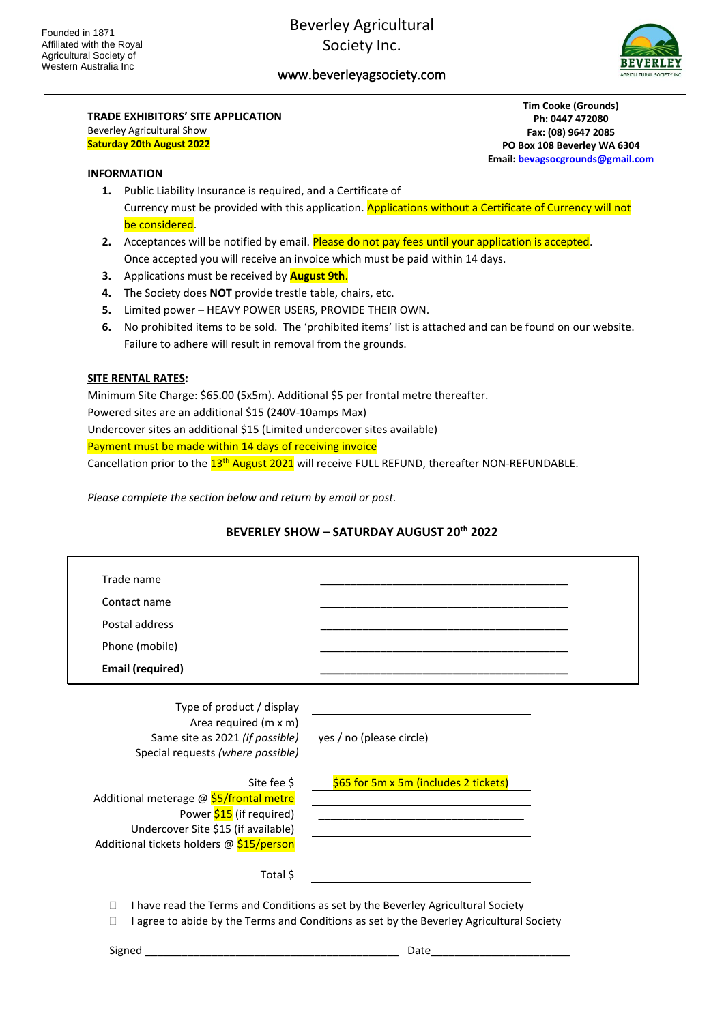## www.beverleyagsociety.com



#### **TRADE EXHIBITORS' SITE APPLICATION** Beverley Agricultural Show

**Saturday 20th August 2022**

**Tim Cooke (Grounds) Ph: 0447 472080 Fax: (08) 9647 2085 PO Box 108 Beverley WA 6304 Email[: bevagsocgrounds@gmail.com](mailto:bevagsocgrounds@gmail.com)**

#### **INFORMATION**

- **1.** Public Liability Insurance is required, and a Certificate of Currency must be provided with this application. Applications without a Certificate of Currency will not be considered.
- **2.** Acceptances will be notified by email. Please do not pay fees until your application is accepted. Once accepted you will receive an invoice which must be paid within 14 days.
- **3.** Applications must be received by **August 9th**.
- **4.** The Society does **NOT** provide trestle table, chairs, etc.
- **5.** Limited power HEAVY POWER USERS, PROVIDE THEIR OWN.
- **6.** No prohibited items to be sold. The 'prohibited items' list is attached and can be found on our website. Failure to adhere will result in removal from the grounds.

#### **SITE RENTAL RATES:**

Minimum Site Charge: \$65.00 (5x5m). Additional \$5 per frontal metre thereafter. Powered sites are an additional \$15 (240V-10amps Max) Undercover sites an additional \$15 (Limited undercover sites available) Payment must be made within 14 days of receiving invoice Cancellation prior to the  $13^{\text{th}}$  August 2021 will receive FULL REFUND, thereafter NON-REFUNDABLE.

*Please complete the section below and return by email or post.*

#### **BEVERLEY SHOW – SATURDAY AUGUST 20 th 2022**

| Trade name                               |                                                                                                                       |  |
|------------------------------------------|-----------------------------------------------------------------------------------------------------------------------|--|
| Contact name                             |                                                                                                                       |  |
| Postal address                           |                                                                                                                       |  |
| Phone (mobile)                           |                                                                                                                       |  |
| <b>Email (required)</b>                  |                                                                                                                       |  |
| Type of product / display                |                                                                                                                       |  |
| Area required (m x m)                    |                                                                                                                       |  |
| Same site as 2021 (if possible)          | yes / no (please circle)                                                                                              |  |
| Special requests (where possible)        |                                                                                                                       |  |
| Site fee \$                              | \$65 for 5m x 5m (includes 2 tickets)                                                                                 |  |
| Additional meterage @ \$5/frontal metre  | <u> 1989 - Johann Barn, mars ann an t-Amhain an t-Amhain an t-Amhain an t-Amhain an t-Amhain an t-Amhain an t-Amh</u> |  |
| Power \$15 (if required)                 |                                                                                                                       |  |
| Undercover Site \$15 (if available)      | <u> 1989 - Johann Barn, mars ann an t-Amhain Aonaichte ann an t-Aonaichte ann an t-Aonaichte ann an t-Aonaichte a</u> |  |
| Additional tickets holders @ \$15/person |                                                                                                                       |  |
| Total \$                                 |                                                                                                                       |  |

I agree to abide by the Terms and Conditions as set by the Beverley Agricultural Society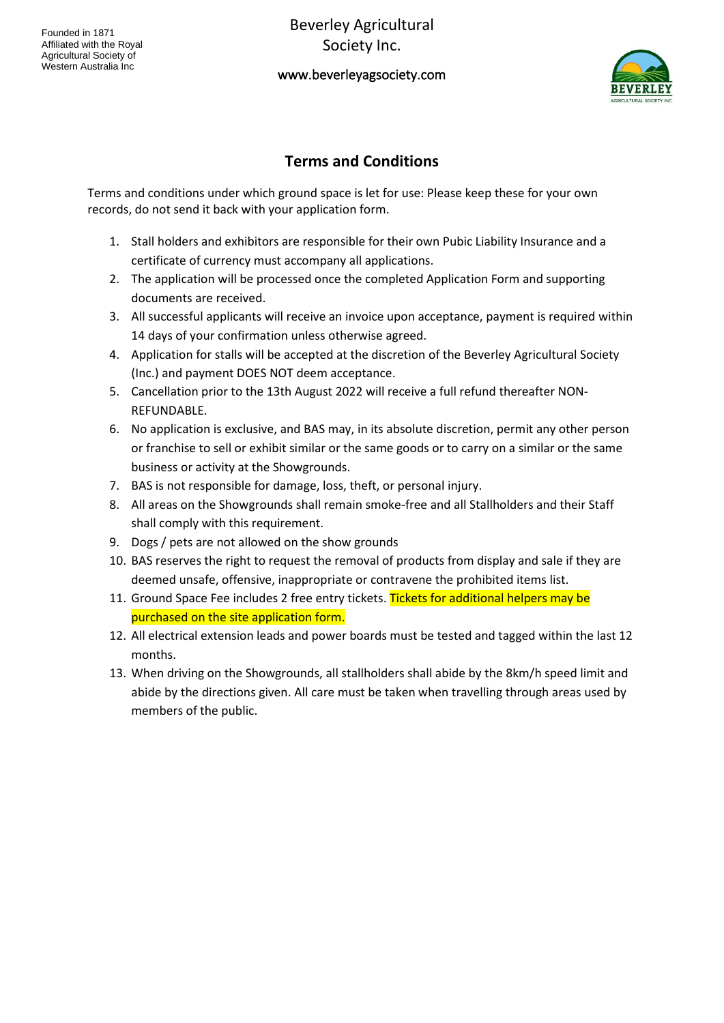Beverley Agricultural Society Inc.

## www.beverleyagsociety.com



# **Terms and Conditions**

Terms and conditions under which ground space is let for use: Please keep these for your own records, do not send it back with your application form.

- 1. Stall holders and exhibitors are responsible for their own Pubic Liability Insurance and a certificate of currency must accompany all applications.
- 2. The application will be processed once the completed Application Form and supporting documents are received.
- 3. All successful applicants will receive an invoice upon acceptance, payment is required within 14 days of your confirmation unless otherwise agreed.
- 4. Application for stalls will be accepted at the discretion of the Beverley Agricultural Society (Inc.) and payment DOES NOT deem acceptance.
- 5. Cancellation prior to the 13th August 2022 will receive a full refund thereafter NON-REFUNDABLE.
- 6. No application is exclusive, and BAS may, in its absolute discretion, permit any other person or franchise to sell or exhibit similar or the same goods or to carry on a similar or the same business or activity at the Showgrounds.
- 7. BAS is not responsible for damage, loss, theft, or personal injury.
- 8. All areas on the Showgrounds shall remain smoke-free and all Stallholders and their Staff shall comply with this requirement.
- 9. Dogs / pets are not allowed on the show grounds
- 10. BAS reserves the right to request the removal of products from display and sale if they are deemed unsafe, offensive, inappropriate or contravene the prohibited items list.
- 11. Ground Space Fee includes 2 free entry tickets. Tickets for additional helpers may be purchased on the site application form.
- 12. All electrical extension leads and power boards must be tested and tagged within the last 12 months.
- 13. When driving on the Showgrounds, all stallholders shall abide by the 8km/h speed limit and abide by the directions given. All care must be taken when travelling through areas used by members of the public.